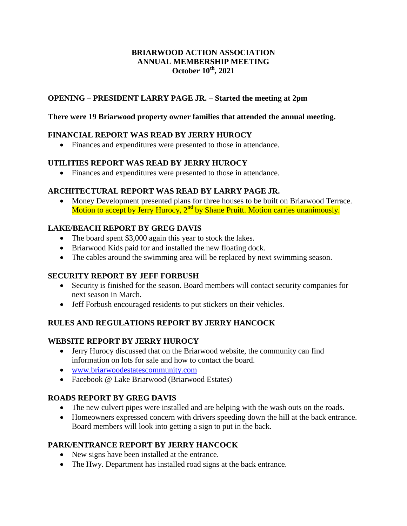#### **BRIARWOOD ACTION ASSOCIATION ANNUAL MEMBERSHIP MEETING October 10th, 2021**

#### **OPENING – PRESIDENT LARRY PAGE JR. – Started the meeting at 2pm**

#### **There were 19 Briarwood property owner families that attended the annual meeting.**

# **FINANCIAL REPORT WAS READ BY JERRY HUROCY**

Finances and expenditures were presented to those in attendance.

#### **UTILITIES REPORT WAS READ BY JERRY HUROCY**

Finances and expenditures were presented to those in attendance.

#### **ARCHITECTURAL REPORT WAS READ BY LARRY PAGE JR.**

 Money Development presented plans for three houses to be built on Briarwood Terrace. Motion to accept by Jerry Hurocy,  $2<sup>nd</sup>$  by Shane Pruitt. Motion carries unanimously.

# **LAKE/BEACH REPORT BY GREG DAVIS**

- The board spent \$3,000 again this year to stock the lakes.
- Briarwood Kids paid for and installed the new floating dock.
- The cables around the swimming area will be replaced by next swimming season.

# **SECURITY REPORT BY JEFF FORBUSH**

- Security is finished for the season. Board members will contact security companies for next season in March.
- Jeff Forbush encouraged residents to put stickers on their vehicles.

# **RULES AND REGULATIONS REPORT BY JERRY HANCOCK**

# **WEBSITE REPORT BY JERRY HUROCY**

- Jerry Hurocy discussed that on the Briarwood website, the community can find information on lots for sale and how to contact the board.
- [www.briarwoodestatescommunity.com](http://www.briarwoodestatescommunity.com/)
- Facebook @ Lake Briarwood (Briarwood Estates)

# **ROADS REPORT BY GREG DAVIS**

- The new culvert pipes were installed and are helping with the wash outs on the roads.
- Homeowners expressed concern with drivers speeding down the hill at the back entrance. Board members will look into getting a sign to put in the back.

# **PARK/ENTRANCE REPORT BY JERRY HANCOCK**

- New signs have been installed at the entrance.
- The Hwy. Department has installed road signs at the back entrance.